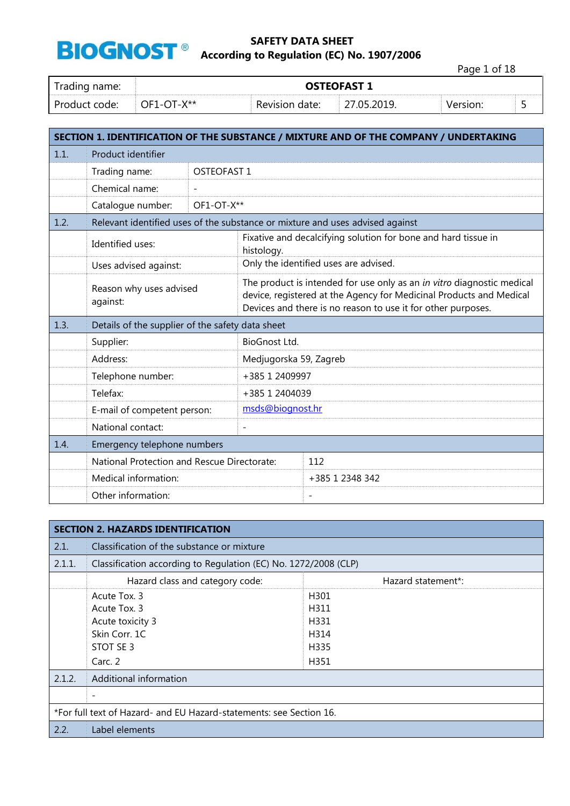

Page 1 of 18

| Trading name: | <b>OSTEOFAST 1</b>  |                |            |          |  |
|---------------|---------------------|----------------|------------|----------|--|
| Product code: | $^\circ$ OF1-OT-X** | Revision date: | 7.05.2019. | Version: |  |

|      | SECTION 1. IDENTIFICATION OF THE SUBSTANCE / MIXTURE AND OF THE COMPANY / UNDERTAKING |             |                                                                                                                                                                                                               |                                                                               |
|------|---------------------------------------------------------------------------------------|-------------|---------------------------------------------------------------------------------------------------------------------------------------------------------------------------------------------------------------|-------------------------------------------------------------------------------|
| 1.1. | Product identifier                                                                    |             |                                                                                                                                                                                                               |                                                                               |
|      | Trading name:                                                                         | OSTEOFAST 1 |                                                                                                                                                                                                               |                                                                               |
|      | Chemical name:                                                                        |             |                                                                                                                                                                                                               |                                                                               |
|      | Catalogue number:                                                                     | OF1-OT-X**  |                                                                                                                                                                                                               |                                                                               |
| 1.2. |                                                                                       |             |                                                                                                                                                                                                               | Relevant identified uses of the substance or mixture and uses advised against |
|      | Identified uses:                                                                      |             | histology.                                                                                                                                                                                                    | Fixative and decalcifying solution for bone and hard tissue in                |
|      | Uses advised against:                                                                 |             |                                                                                                                                                                                                               | Only the identified uses are advised.                                         |
|      | Reason why uses advised<br>against:                                                   |             | The product is intended for use only as an in vitro diagnostic medical<br>device, registered at the Agency for Medicinal Products and Medical<br>Devices and there is no reason to use it for other purposes. |                                                                               |
| 1.3. | Details of the supplier of the safety data sheet                                      |             |                                                                                                                                                                                                               |                                                                               |
|      | Supplier:                                                                             |             | BioGnost Ltd.                                                                                                                                                                                                 |                                                                               |
|      | Address:                                                                              |             | Medjugorska 59, Zagreb                                                                                                                                                                                        |                                                                               |
|      | Telephone number:                                                                     |             | +385 1 2409997                                                                                                                                                                                                |                                                                               |
|      | Telefax:                                                                              |             | +385 1 2404039                                                                                                                                                                                                |                                                                               |
|      | E-mail of competent person:                                                           |             | msds@biognost.hr                                                                                                                                                                                              |                                                                               |
|      | National contact:                                                                     |             |                                                                                                                                                                                                               |                                                                               |
| 1.4. | Emergency telephone numbers                                                           |             |                                                                                                                                                                                                               |                                                                               |
|      | National Protection and Rescue Directorate:                                           |             |                                                                                                                                                                                                               | 112                                                                           |
|      | Medical information:                                                                  |             |                                                                                                                                                                                                               | +385 1 2348 342                                                               |
|      | Other information:                                                                    |             |                                                                                                                                                                                                               | $\overline{a}$                                                                |

|                                                                     | <b>SECTION 2. HAZARDS IDENTIFICATION</b>                        |                    |  |  |  |
|---------------------------------------------------------------------|-----------------------------------------------------------------|--------------------|--|--|--|
| 2.1.                                                                | Classification of the substance or mixture                      |                    |  |  |  |
| 2.1.1.                                                              | Classification according to Regulation (EC) No. 1272/2008 (CLP) |                    |  |  |  |
|                                                                     | Hazard class and category code:                                 | Hazard statement*: |  |  |  |
|                                                                     | Acute Tox. 3                                                    | H301               |  |  |  |
|                                                                     | Acute Tox. 3                                                    | H311               |  |  |  |
|                                                                     | Acute toxicity 3                                                | H331               |  |  |  |
|                                                                     | Skin Corr. 1C                                                   | H314               |  |  |  |
|                                                                     | STOT SE 3                                                       | H335               |  |  |  |
|                                                                     | Carc. 2                                                         | H351               |  |  |  |
| 2.1.2.                                                              | Additional information                                          |                    |  |  |  |
|                                                                     | $\overline{\phantom{a}}$                                        |                    |  |  |  |
| *For full text of Hazard- and EU Hazard-statements: see Section 16. |                                                                 |                    |  |  |  |
| 2.2.                                                                | Label elements                                                  |                    |  |  |  |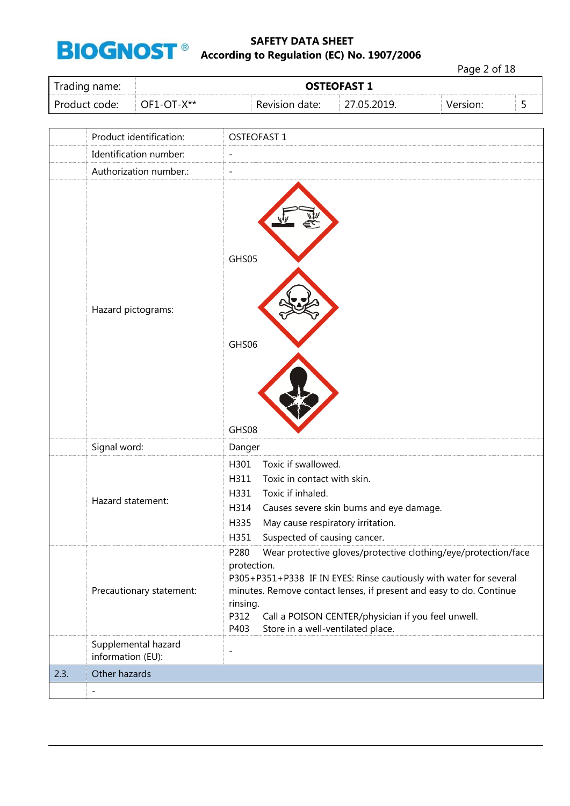

Page 2 of 18

| Trading name: | <b>OSTEOFAST 1</b> |                |        |  |  |
|---------------|--------------------|----------------|--------|--|--|
| Product code: | $OF1-OT-X**$       | Revision date: | 27 U.E |  |  |

|      | Product identification:                  | OSTEOFAST 1                                                                                                                                                                                                                                                                                                                                               |
|------|------------------------------------------|-----------------------------------------------------------------------------------------------------------------------------------------------------------------------------------------------------------------------------------------------------------------------------------------------------------------------------------------------------------|
|      | Identification number:                   | $\qquad \qquad -$                                                                                                                                                                                                                                                                                                                                         |
|      | Authorization number.:                   | $\qquad \qquad -$                                                                                                                                                                                                                                                                                                                                         |
|      | Hazard pictograms:                       | GHS05<br>GHS06<br>GHS08                                                                                                                                                                                                                                                                                                                                   |
|      | Signal word:                             | Danger                                                                                                                                                                                                                                                                                                                                                    |
|      | Hazard statement:                        | H301<br>Toxic if swallowed.<br>H311<br>Toxic in contact with skin.<br>Toxic if inhaled.<br>H331<br>Causes severe skin burns and eye damage.<br>H314<br>May cause respiratory irritation.<br>H335<br>Suspected of causing cancer.<br>H351                                                                                                                  |
|      | Precautionary statement:                 | P280<br>Wear protective gloves/protective clothing/eye/protection/face<br>protection.<br>P305+P351+P338 IF IN EYES: Rinse cautiously with water for several<br>minutes. Remove contact lenses, if present and easy to do. Continue<br>rinsing.<br>P312<br>Call a POISON CENTER/physician if you feel unwell.<br>P403<br>Store in a well-ventilated place. |
|      | Supplemental hazard<br>information (EU): | $\overline{a}$                                                                                                                                                                                                                                                                                                                                            |
| 2.3. | Other hazards                            |                                                                                                                                                                                                                                                                                                                                                           |
|      |                                          |                                                                                                                                                                                                                                                                                                                                                           |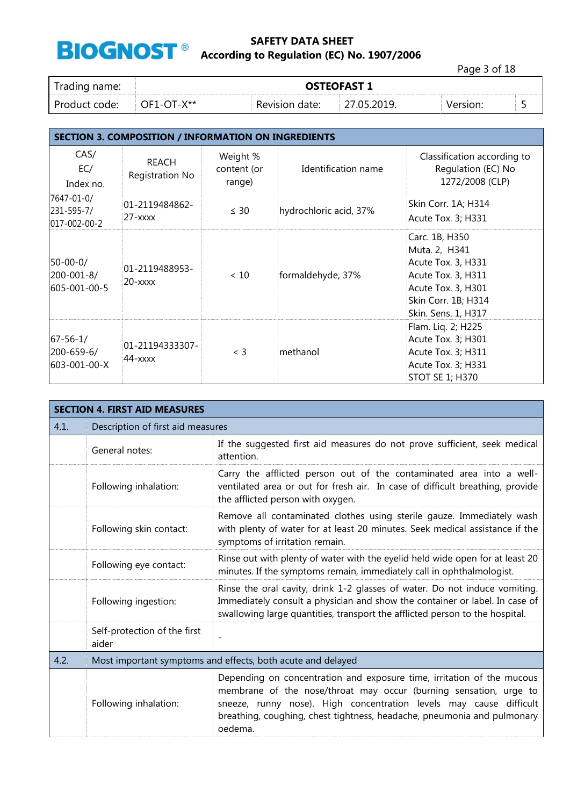

Page 3 of 18

| rading name:<br>້ | <b>OSTEOFAST 1</b>  |                   |  |  |  |
|-------------------|---------------------|-------------------|--|--|--|
| Product code:     | <b>V**</b><br>DFT-0 | Revision<br>date: |  |  |  |

# **SECTION 3. COMPOSITION / INFORMATION ON INGREDIENTS**

| CAS/<br>EC/<br>Index no.                     | REACH<br>Registration No     | Weight %<br>content (or<br>range) | Identification name    | Classification according to<br>Regulation (EC) No<br>1272/2008 (CLP)                                                                            |
|----------------------------------------------|------------------------------|-----------------------------------|------------------------|-------------------------------------------------------------------------------------------------------------------------------------------------|
| 7647-01-0/<br>231-595-7/<br>017-002-00-2     | 01-2119484862-<br>$27  xxx$  | $\leq 30$                         | hydrochloric acid, 37% | Skin Corr. 1A; H314<br>Acute Tox. 3; H331                                                                                                       |
| $50 - 00 - 0/$<br>200-001-8/<br>605-001-00-5 | 01-2119488953-<br>$20  xxxx$ | ~< 10                             | formaldehyde, 37%      | Carc. 1B, H350<br>Muta. 2, H341<br>Acute Tox. 3, H331<br>Acute Tox. 3, H311<br>Acute Tox. 3, H301<br>Skin Corr. 1B; H314<br>Skin. Sens. 1, H317 |
| $67 - 56 - 1/$<br>200-659-6/<br>603-001-00-X | 01-21194333307-<br>44-xxxx   | $<$ 3                             | methanol               | Flam. Liq. 2; H225<br>Acute Tox. 3; H301<br>Acute Tox. 3; H311<br>Acute Tox. 3; H331<br><b>STOT SE 1; H370</b>                                  |

|      | <b>SECTION 4. FIRST AID MEASURES</b>                        |                                                                                                                                                                                                                                                                                                         |  |  |
|------|-------------------------------------------------------------|---------------------------------------------------------------------------------------------------------------------------------------------------------------------------------------------------------------------------------------------------------------------------------------------------------|--|--|
| 4.1. | Description of first aid measures                           |                                                                                                                                                                                                                                                                                                         |  |  |
|      | General notes:                                              | If the suggested first aid measures do not prove sufficient, seek medical<br>attention.                                                                                                                                                                                                                 |  |  |
|      | Following inhalation:                                       | Carry the afflicted person out of the contaminated area into a well-<br>ventilated area or out for fresh air. In case of difficult breathing, provide<br>the afflicted person with oxygen.                                                                                                              |  |  |
|      | Following skin contact:                                     | Remove all contaminated clothes using sterile gauze. Immediately wash<br>with plenty of water for at least 20 minutes. Seek medical assistance if the<br>symptoms of irritation remain.                                                                                                                 |  |  |
|      | Following eye contact:                                      | Rinse out with plenty of water with the eyelid held wide open for at least 20<br>minutes. If the symptoms remain, immediately call in ophthalmologist.                                                                                                                                                  |  |  |
|      | Following ingestion:                                        | Rinse the oral cavity, drink 1-2 glasses of water. Do not induce vomiting.<br>Immediately consult a physician and show the container or label. In case of<br>swallowing large quantities, transport the afflicted person to the hospital.                                                               |  |  |
|      | Self-protection of the first<br>aider                       |                                                                                                                                                                                                                                                                                                         |  |  |
| 4.2. | Most important symptoms and effects, both acute and delayed |                                                                                                                                                                                                                                                                                                         |  |  |
|      | Following inhalation:                                       | Depending on concentration and exposure time, irritation of the mucous<br>membrane of the nose/throat may occur (burning sensation, urge to<br>sneeze, runny nose). High concentration levels may cause difficult<br>breathing, coughing, chest tightness, headache, pneumonia and pulmonary<br>oedema. |  |  |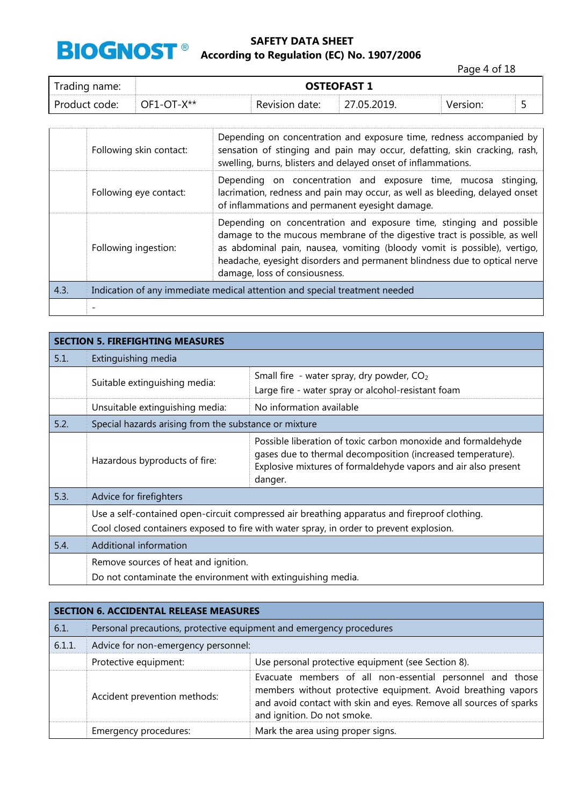

Page 4 of 18

| rading name:  | <b>OSTEOFAST 1</b>        |                |  |  |
|---------------|---------------------------|----------------|--|--|
| Product code: | $V^{\star\star}$<br>7F1-0 | Revision date: |  |  |

|      | Following skin contact:                                                    | Depending on concentration and exposure time, redness accompanied by<br>sensation of stinging and pain may occur, defatting, skin cracking, rash,<br>swelling, burns, blisters and delayed onset of inflammations.                                                                                                                         |  |
|------|----------------------------------------------------------------------------|--------------------------------------------------------------------------------------------------------------------------------------------------------------------------------------------------------------------------------------------------------------------------------------------------------------------------------------------|--|
|      | Following eye contact:                                                     | Depending on concentration and exposure time, mucosa stinging,<br>lacrimation, redness and pain may occur, as well as bleeding, delayed onset<br>of inflammations and permanent eyesight damage.                                                                                                                                           |  |
|      | Following ingestion:                                                       | Depending on concentration and exposure time, stinging and possible<br>damage to the mucous membrane of the digestive tract is possible, as well<br>as abdominal pain, nausea, vomiting (bloody vomit is possible), vertigo,<br>headache, eyesight disorders and permanent blindness due to optical nerve<br>damage, loss of consiousness. |  |
| 4.3. | Indication of any immediate medical attention and special treatment needed |                                                                                                                                                                                                                                                                                                                                            |  |
|      |                                                                            |                                                                                                                                                                                                                                                                                                                                            |  |

|      | <b>SECTION 5. FIREFIGHTING MEASURES</b>                                                                                                                                                 |                                                                                                                                                                                                           |  |  |  |
|------|-----------------------------------------------------------------------------------------------------------------------------------------------------------------------------------------|-----------------------------------------------------------------------------------------------------------------------------------------------------------------------------------------------------------|--|--|--|
| 5.1. | Extinguishing media                                                                                                                                                                     |                                                                                                                                                                                                           |  |  |  |
|      | Suitable extinguishing media:                                                                                                                                                           | Small fire - water spray, dry powder, $CO2$<br>Large fire - water spray or alcohol-resistant foam                                                                                                         |  |  |  |
|      | Unsuitable extinguishing media:                                                                                                                                                         | No information available                                                                                                                                                                                  |  |  |  |
| 5.2. | Special hazards arising from the substance or mixture                                                                                                                                   |                                                                                                                                                                                                           |  |  |  |
|      | Hazardous byproducts of fire:                                                                                                                                                           | Possible liberation of toxic carbon monoxide and formaldehyde<br>gases due to thermal decomposition (increased temperature).<br>Explosive mixtures of formaldehyde vapors and air also present<br>danger. |  |  |  |
| 5.3. | Advice for firefighters                                                                                                                                                                 |                                                                                                                                                                                                           |  |  |  |
|      | Use a self-contained open-circuit compressed air breathing apparatus and fireproof clothing.<br>Cool closed containers exposed to fire with water spray, in order to prevent explosion. |                                                                                                                                                                                                           |  |  |  |
| 5.4. | Additional information                                                                                                                                                                  |                                                                                                                                                                                                           |  |  |  |
|      | Remove sources of heat and ignition.<br>Do not contaminate the environment with extinguishing media.                                                                                    |                                                                                                                                                                                                           |  |  |  |

|        | <b>SECTION 6. ACCIDENTAL RELEASE MEASURES</b> |                                                                                                                                                                                                                                |  |  |
|--------|-----------------------------------------------|--------------------------------------------------------------------------------------------------------------------------------------------------------------------------------------------------------------------------------|--|--|
| 6.1.   |                                               | Personal precautions, protective equipment and emergency procedures                                                                                                                                                            |  |  |
| 6.1.1. | Advice for non-emergency personnel:           |                                                                                                                                                                                                                                |  |  |
|        | Protective equipment:                         | Use personal protective equipment (see Section 8).                                                                                                                                                                             |  |  |
|        | Accident prevention methods:                  | Evacuate members of all non-essential personnel and those<br>members without protective equipment. Avoid breathing vapors<br>and avoid contact with skin and eyes. Remove all sources of sparks<br>and ignition. Do not smoke. |  |  |
|        | Emergency procedures:                         | Mark the area using proper signs.                                                                                                                                                                                              |  |  |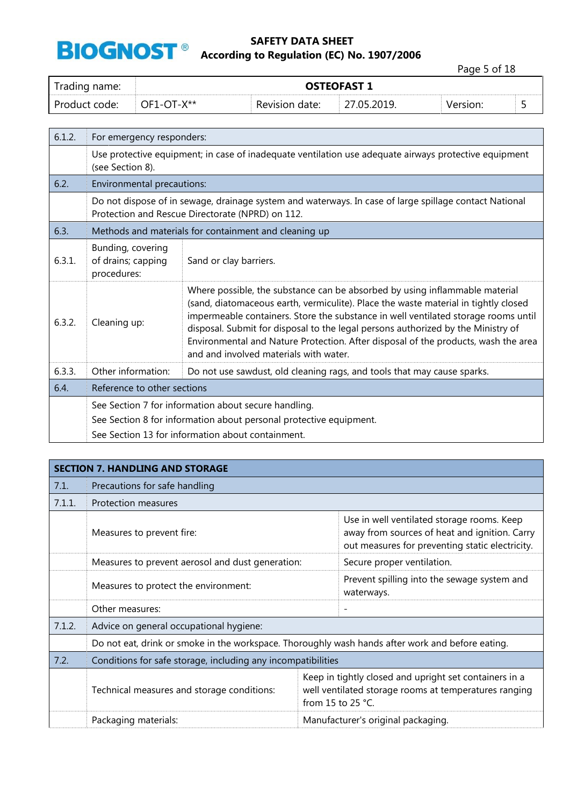

Page 5 of 18

| Trading name: | <b>OSTEOFAST 1</b> |                |           |          |  |
|---------------|--------------------|----------------|-----------|----------|--|
| Product code: | $OF1-OT-X**$       | Revision date: | 7 N5 2019 | Version: |  |

| 6.1.2. | For emergency responders:                                                                                                                                                                                                                                                                                                                                                                                                                                                                    |                                                                                                                                                            |  |
|--------|----------------------------------------------------------------------------------------------------------------------------------------------------------------------------------------------------------------------------------------------------------------------------------------------------------------------------------------------------------------------------------------------------------------------------------------------------------------------------------------------|------------------------------------------------------------------------------------------------------------------------------------------------------------|--|
|        | Use protective equipment; in case of inadequate ventilation use adequate airways protective equipment<br>(see Section 8).                                                                                                                                                                                                                                                                                                                                                                    |                                                                                                                                                            |  |
| 6.2.   | Environmental precautions:                                                                                                                                                                                                                                                                                                                                                                                                                                                                   |                                                                                                                                                            |  |
|        |                                                                                                                                                                                                                                                                                                                                                                                                                                                                                              | Do not dispose of in sewage, drainage system and waterways. In case of large spillage contact National<br>Protection and Rescue Directorate (NPRD) on 112. |  |
| 6.3.   |                                                                                                                                                                                                                                                                                                                                                                                                                                                                                              | Methods and materials for containment and cleaning up                                                                                                      |  |
| 6.3.1. | Bunding, covering<br>of drains; capping<br>procedures:                                                                                                                                                                                                                                                                                                                                                                                                                                       | Sand or clay barriers.                                                                                                                                     |  |
| 6.3.2. | Where possible, the substance can be absorbed by using inflammable material<br>(sand, diatomaceous earth, vermiculite). Place the waste material in tightly closed<br>impermeable containers. Store the substance in well ventilated storage rooms until<br>Cleaning up:<br>disposal. Submit for disposal to the legal persons authorized by the Ministry of<br>Environmental and Nature Protection. After disposal of the products, wash the area<br>and and involved materials with water. |                                                                                                                                                            |  |
| 6.3.3. | Other information:                                                                                                                                                                                                                                                                                                                                                                                                                                                                           | Do not use sawdust, old cleaning rags, and tools that may cause sparks.                                                                                    |  |
| 6.4.   | Reference to other sections                                                                                                                                                                                                                                                                                                                                                                                                                                                                  |                                                                                                                                                            |  |
|        | See Section 7 for information about secure handling.<br>See Section 8 for information about personal protective equipment.<br>See Section 13 for information about containment.                                                                                                                                                                                                                                                                                                              |                                                                                                                                                            |  |

|        | <b>SECTION 7. HANDLING AND STORAGE</b>                       |                                                                                                                                                |  |  |  |
|--------|--------------------------------------------------------------|------------------------------------------------------------------------------------------------------------------------------------------------|--|--|--|
| 7.1.   | Precautions for safe handling                                |                                                                                                                                                |  |  |  |
| 7.1.1. | Protection measures                                          |                                                                                                                                                |  |  |  |
|        | Measures to prevent fire:                                    | Use in well ventilated storage rooms. Keep<br>away from sources of heat and ignition. Carry<br>out measures for preventing static electricity. |  |  |  |
|        | Measures to prevent aerosol and dust generation:             | Secure proper ventilation.                                                                                                                     |  |  |  |
|        | Measures to protect the environment:                         | Prevent spilling into the sewage system and<br>waterways.                                                                                      |  |  |  |
|        | Other measures:                                              |                                                                                                                                                |  |  |  |
| 7.1.2. | Advice on general occupational hygiene:                      |                                                                                                                                                |  |  |  |
|        |                                                              | Do not eat, drink or smoke in the workspace. Thoroughly wash hands after work and before eating.                                               |  |  |  |
| 7.2.   | Conditions for safe storage, including any incompatibilities |                                                                                                                                                |  |  |  |
|        | Technical measures and storage conditions:                   | Keep in tightly closed and upright set containers in a<br>well ventilated storage rooms at temperatures ranging<br>from 15 to 25 $°C$ .        |  |  |  |
|        | Packaging materials:                                         | Manufacturer's original packaging.                                                                                                             |  |  |  |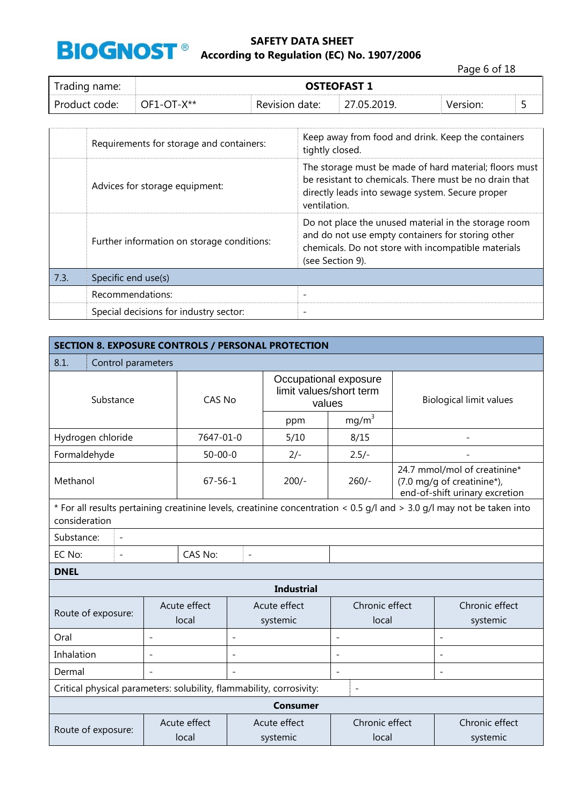

Page 6 of 18

| frading name: | <b>OSTEOFAST 1</b>               |                |             |          |  |
|---------------|----------------------------------|----------------|-------------|----------|--|
| Product code: | $^{\circ}$ OF1-OT-X** $^{\circ}$ | Revision date: | 27.05.2019. | Version: |  |

|      | Requirements for storage and containers:   | Keep away from food and drink. Keep the containers<br>tightly closed.                                                                                                                |
|------|--------------------------------------------|--------------------------------------------------------------------------------------------------------------------------------------------------------------------------------------|
|      | Advices for storage equipment:             | The storage must be made of hard material; floors must<br>be resistant to chemicals. There must be no drain that<br>directly leads into sewage system. Secure proper<br>ventilation. |
|      | Further information on storage conditions: | Do not place the unused material in the storage room<br>and do not use empty containers for storing other<br>chemicals. Do not store with incompatible materials<br>(see Section 9). |
| 7.3. | Specific end use(s)                        |                                                                                                                                                                                      |
|      | Recommendations:                           | $\overline{\phantom{0}}$                                                                                                                                                             |
|      | Special decisions for industry sector:     |                                                                                                                                                                                      |

| <b>SECTION 8. EXPOSURE CONTROLS / PERSONAL PROTECTION</b>                                                                               |                |                       |                          |                                                            |                          |                                |                                                                                              |
|-----------------------------------------------------------------------------------------------------------------------------------------|----------------|-----------------------|--------------------------|------------------------------------------------------------|--------------------------|--------------------------------|----------------------------------------------------------------------------------------------|
| 8.1.<br>Control parameters                                                                                                              |                |                       |                          |                                                            |                          |                                |                                                                                              |
| Substance                                                                                                                               |                | CAS No                |                          | Occupational exposure<br>limit values/short term<br>values |                          | <b>Biological limit values</b> |                                                                                              |
|                                                                                                                                         |                |                       |                          | ppm                                                        | mg/m <sup>3</sup>        |                                |                                                                                              |
| Hydrogen chloride                                                                                                                       |                | 7647-01-0             |                          | 5/10                                                       | 8/15                     |                                |                                                                                              |
| Formaldehyde                                                                                                                            |                | $50 - 00 - 0$         |                          | $2/-$                                                      | $2.5/-$                  |                                |                                                                                              |
| Methanol                                                                                                                                |                | $67 - 56 - 1$         |                          | $200/-$                                                    | $260/-$                  |                                | 24.7 mmol/mol of creatinine*<br>(7.0 mg/g of creatinine*),<br>end-of-shift urinary excretion |
| * For all results pertaining creatinine levels, creatinine concentration < 0.5 g/l and > 3.0 g/l may not be taken into<br>consideration |                |                       |                          |                                                            |                          |                                |                                                                                              |
| Substance:<br>$\overline{\phantom{a}}$                                                                                                  |                |                       |                          |                                                            |                          |                                |                                                                                              |
| EC No:<br>$\overline{a}$                                                                                                                | CAS No:        |                       | $\overline{a}$           |                                                            |                          |                                |                                                                                              |
| <b>DNEL</b>                                                                                                                             |                |                       |                          |                                                            |                          |                                |                                                                                              |
|                                                                                                                                         |                |                       |                          | <b>Industrial</b>                                          |                          |                                |                                                                                              |
| Route of exposure:                                                                                                                      |                | Acute effect<br>local |                          | Acute effect<br>systemic                                   | Chronic effect<br>local  |                                | Chronic effect<br>systemic                                                                   |
| Oral                                                                                                                                    | $\overline{a}$ |                       | $\overline{\phantom{0}}$ |                                                            | $\overline{a}$           |                                | $\overline{\phantom{a}}$                                                                     |
| Inhalation                                                                                                                              | $\overline{a}$ |                       |                          |                                                            | $\overline{\phantom{a}}$ |                                | $\overline{\phantom{a}}$                                                                     |
| Dermal                                                                                                                                  |                |                       |                          |                                                            | $\overline{a}$           |                                |                                                                                              |
| Critical physical parameters: solubility, flammability, corrosivity:<br>$\overline{\phantom{a}}$                                        |                |                       |                          |                                                            |                          |                                |                                                                                              |
| <b>Consumer</b>                                                                                                                         |                |                       |                          |                                                            |                          |                                |                                                                                              |
| Route of exposure:                                                                                                                      |                | Acute effect<br>local |                          | Acute effect<br>systemic                                   | Chronic effect<br>local  |                                | Chronic effect<br>systemic                                                                   |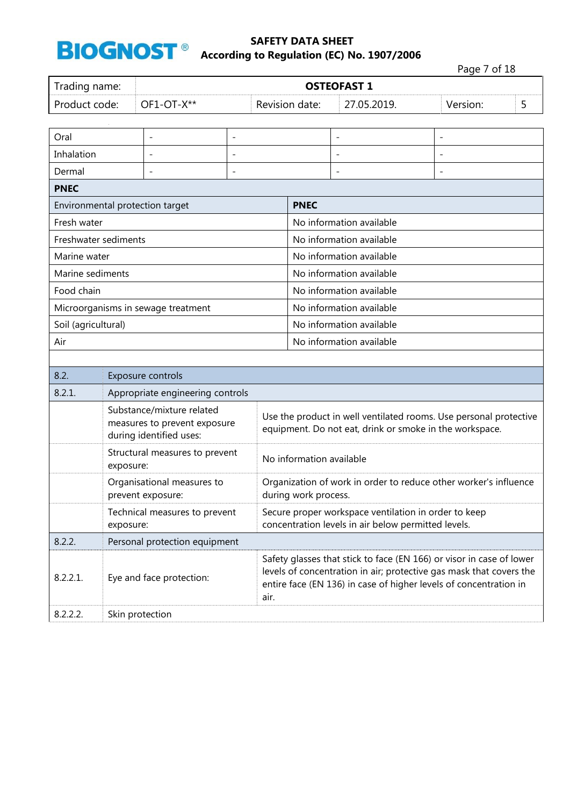

Page 7 of 18 Trading name: **DESE 1 OSTEOFAST 1** Product code: OF1-OT-X\*\* Revision date: 27.05.2019. Version: 5 Oral - - - -

| Inhalation                      |                                            |                                                                                      |                          |                                                                                                                                                                                                                  |                          |  |                |
|---------------------------------|--------------------------------------------|--------------------------------------------------------------------------------------|--------------------------|------------------------------------------------------------------------------------------------------------------------------------------------------------------------------------------------------------------|--------------------------|--|----------------|
| Dermal                          |                                            |                                                                                      | $\overline{\phantom{a}}$ |                                                                                                                                                                                                                  | $\overline{a}$           |  | $\overline{a}$ |
| <b>PNEC</b>                     |                                            |                                                                                      |                          |                                                                                                                                                                                                                  |                          |  |                |
| Environmental protection target |                                            |                                                                                      |                          | <b>PNEC</b>                                                                                                                                                                                                      |                          |  |                |
| Fresh water                     |                                            |                                                                                      |                          |                                                                                                                                                                                                                  | No information available |  |                |
| Freshwater sediments            |                                            |                                                                                      |                          |                                                                                                                                                                                                                  | No information available |  |                |
| Marine water                    |                                            |                                                                                      |                          |                                                                                                                                                                                                                  | No information available |  |                |
| Marine sediments                |                                            |                                                                                      |                          |                                                                                                                                                                                                                  | No information available |  |                |
| Food chain                      |                                            |                                                                                      |                          |                                                                                                                                                                                                                  | No information available |  |                |
|                                 |                                            | Microorganisms in sewage treatment                                                   |                          |                                                                                                                                                                                                                  | No information available |  |                |
| Soil (agricultural)             |                                            |                                                                                      |                          |                                                                                                                                                                                                                  | No information available |  |                |
| Air                             |                                            |                                                                                      |                          |                                                                                                                                                                                                                  | No information available |  |                |
|                                 |                                            |                                                                                      |                          |                                                                                                                                                                                                                  |                          |  |                |
| 8.2.                            | Exposure controls                          |                                                                                      |                          |                                                                                                                                                                                                                  |                          |  |                |
| 8.2.1.                          |                                            | Appropriate engineering controls                                                     |                          |                                                                                                                                                                                                                  |                          |  |                |
|                                 |                                            | Substance/mixture related<br>measures to prevent exposure<br>during identified uses: |                          | Use the product in well ventilated rooms. Use personal protective<br>equipment. Do not eat, drink or smoke in the workspace.                                                                                     |                          |  |                |
|                                 | exposure:                                  | Structural measures to prevent                                                       |                          | No information available                                                                                                                                                                                         |                          |  |                |
|                                 |                                            | Organisational measures to<br>prevent exposure:                                      |                          | Organization of work in order to reduce other worker's influence<br>during work process.                                                                                                                         |                          |  |                |
|                                 | Technical measures to prevent<br>exposure: |                                                                                      |                          | Secure proper workspace ventilation in order to keep<br>concentration levels in air below permitted levels.                                                                                                      |                          |  |                |
| 8.2.2.                          | Personal protection equipment              |                                                                                      |                          |                                                                                                                                                                                                                  |                          |  |                |
| 8.2.2.1.                        |                                            | Eye and face protection:                                                             | air.                     | Safety glasses that stick to face (EN 166) or visor in case of lower<br>levels of concentration in air; protective gas mask that covers the<br>entire face (EN 136) in case of higher levels of concentration in |                          |  |                |
| 8.2.2.2.                        | Skin protection                            |                                                                                      |                          |                                                                                                                                                                                                                  |                          |  |                |
|                                 |                                            |                                                                                      |                          |                                                                                                                                                                                                                  |                          |  |                |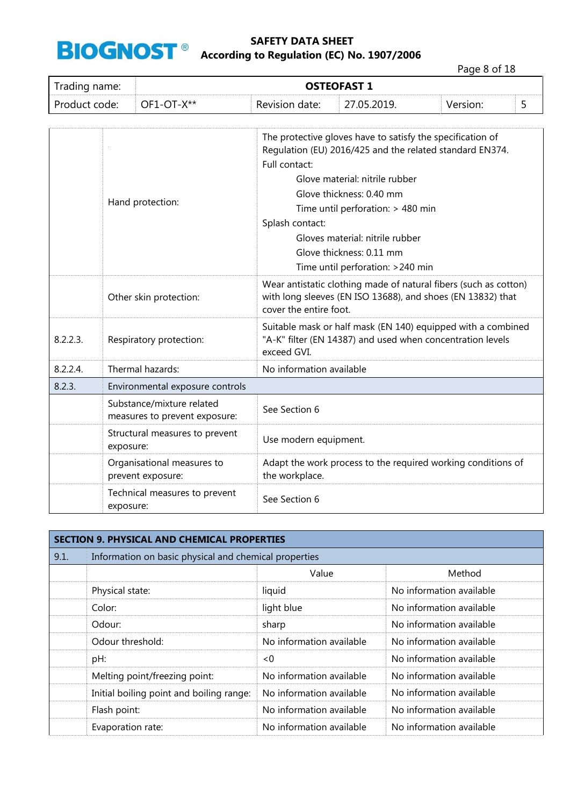

Page 8 of 18

| Trading name:               |                                                 | <b>OSTEOFAST 1</b>                                         |                                                                                                                                                                                                                                                                                                                              |                                                              |          |   |  |  |
|-----------------------------|-------------------------------------------------|------------------------------------------------------------|------------------------------------------------------------------------------------------------------------------------------------------------------------------------------------------------------------------------------------------------------------------------------------------------------------------------------|--------------------------------------------------------------|----------|---|--|--|
| Product code:<br>OF1-OT-X** |                                                 |                                                            | Revision date:                                                                                                                                                                                                                                                                                                               | 27.05.2019.                                                  | Version: | 5 |  |  |
|                             |                                                 | Hand protection:                                           | The protective gloves have to satisfy the specification of<br>Regulation (EU) 2016/425 and the related standard EN374.<br>Full contact:<br>Glove material: nitrile rubber<br>Glove thickness: 0.40 mm<br>Time until perforation: > 480 min<br>Splash contact:<br>Gloves material: nitrile rubber<br>Glove thickness: 0.11 mm |                                                              |          |   |  |  |
|                             | Other skin protection:                          |                                                            | Wear antistatic clothing made of natural fibers (such as cotton)<br>with long sleeves (EN ISO 13688), and shoes (EN 13832) that<br>cover the entire foot.                                                                                                                                                                    |                                                              |          |   |  |  |
| 8.2.2.3.                    | Respiratory protection:<br>exceed GVI.          |                                                            | Suitable mask or half mask (EN 140) equipped with a combined<br>"A-K" filter (EN 14387) and used when concentration levels                                                                                                                                                                                                   |                                                              |          |   |  |  |
| 8.2.2.4.                    |                                                 | Thermal hazards:                                           | No information available                                                                                                                                                                                                                                                                                                     |                                                              |          |   |  |  |
| 8.2.3.                      |                                                 | Environmental exposure controls                            |                                                                                                                                                                                                                                                                                                                              |                                                              |          |   |  |  |
|                             |                                                 | Substance/mixture related<br>measures to prevent exposure: | See Section 6                                                                                                                                                                                                                                                                                                                |                                                              |          |   |  |  |
|                             | Structural measures to prevent<br>exposure:     |                                                            | Use modern equipment.                                                                                                                                                                                                                                                                                                        |                                                              |          |   |  |  |
|                             | Organisational measures to<br>prevent exposure: |                                                            | the workplace.                                                                                                                                                                                                                                                                                                               | Adapt the work process to the required working conditions of |          |   |  |  |
|                             | exposure:                                       | Technical measures to prevent                              | See Section 6                                                                                                                                                                                                                                                                                                                |                                                              |          |   |  |  |

| <b>SECTION 9. PHYSICAL AND CHEMICAL PROPERTIES</b> |                                                       |                          |                          |  |  |
|----------------------------------------------------|-------------------------------------------------------|--------------------------|--------------------------|--|--|
| 9.1.                                               | Information on basic physical and chemical properties |                          |                          |  |  |
|                                                    |                                                       | Value                    | Method                   |  |  |
|                                                    | Physical state:                                       | liquid                   | No information available |  |  |
|                                                    | Color:                                                | light blue               | No information available |  |  |
|                                                    | Odour:                                                | sharp                    | No information available |  |  |
|                                                    | Odour threshold:                                      | No information available | No information available |  |  |
|                                                    | pH:                                                   | < 0                      | No information available |  |  |
|                                                    | Melting point/freezing point:                         | No information available | No information available |  |  |
|                                                    | Initial boiling point and boiling range:              | No information available | No information available |  |  |
|                                                    | Flash point:                                          | No information available | No information available |  |  |
|                                                    | Evaporation rate:                                     | No information available | No information available |  |  |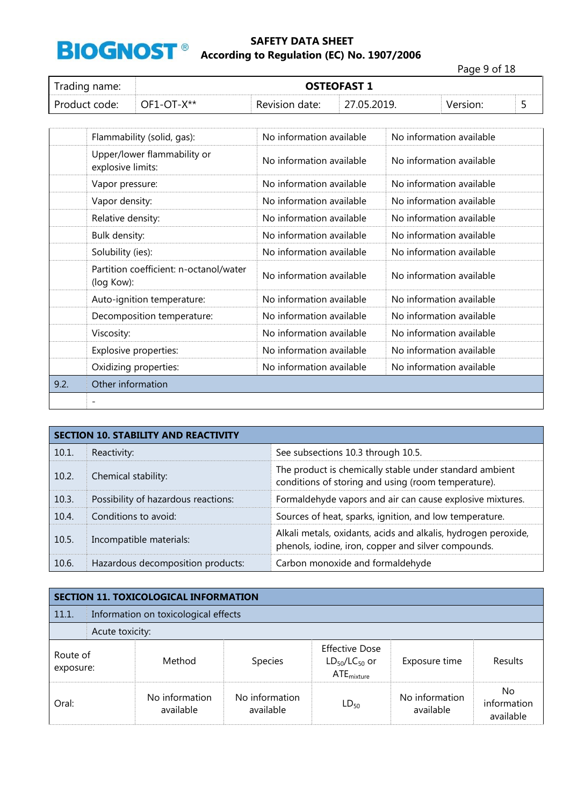

Page 9 of 18

| Trading name: | <b>OSTEOFAST 1</b> |                |             |          |  |
|---------------|--------------------|----------------|-------------|----------|--|
| Product code: | OF1-OT-X**         | Revision date: | 27.05.2019. | Version: |  |

|      | Flammability (solid, gas):                           | No information available | No information available |
|------|------------------------------------------------------|--------------------------|--------------------------|
|      | Upper/lower flammability or<br>explosive limits:     | No information available | No information available |
|      | Vapor pressure:                                      | No information available | No information available |
|      | Vapor density:                                       | No information available | No information available |
|      | Relative density:                                    | No information available | No information available |
|      | Bulk density:                                        | No information available | No information available |
|      | Solubility (ies):                                    | No information available | No information available |
|      | Partition coefficient: n-octanol/water<br>(log Kow): | No information available | No information available |
|      | Auto-ignition temperature:                           | No information available | No information available |
|      | Decomposition temperature:                           | No information available | No information available |
|      | Viscosity:                                           | No information available | No information available |
|      | Explosive properties:                                | No information available | No information available |
|      | Oxidizing properties:                                | No information available | No information available |
| 9.2. | Other information                                    |                          |                          |
|      | $\overline{\phantom{a}}$                             |                          |                          |

| <b>SECTION 10. STABILITY AND REACTIVITY</b> |                                     |                                                                                                                       |  |
|---------------------------------------------|-------------------------------------|-----------------------------------------------------------------------------------------------------------------------|--|
| 10.1.                                       | Reactivity:                         | See subsections 10.3 through 10.5.                                                                                    |  |
| 10.2.                                       | Chemical stability:                 | The product is chemically stable under standard ambient<br>conditions of storing and using (room temperature).        |  |
| 10.3.                                       | Possibility of hazardous reactions: | Formaldehyde vapors and air can cause explosive mixtures.                                                             |  |
| 10.4.                                       | Conditions to avoid:                | Sources of heat, sparks, ignition, and low temperature.                                                               |  |
| 10.5.                                       | Incompatible materials:             | Alkali metals, oxidants, acids and alkalis, hydrogen peroxide,<br>phenols, iodine, iron, copper and silver compounds. |  |
| 10.6.                                       | Hazardous decomposition products:   | Carbon monoxide and formaldehyde                                                                                      |  |

| <b>SECTION 11. TOXICOLOGICAL INFORMATION</b> |                                      |                             |                             |                                                                  |                             |                                 |  |  |  |  |  |  |
|----------------------------------------------|--------------------------------------|-----------------------------|-----------------------------|------------------------------------------------------------------|-----------------------------|---------------------------------|--|--|--|--|--|--|
| 11.1.                                        | Information on toxicological effects |                             |                             |                                                                  |                             |                                 |  |  |  |  |  |  |
|                                              |                                      | Acute toxicity:             |                             |                                                                  |                             |                                 |  |  |  |  |  |  |
| Route of<br>exposure:                        |                                      | Method                      | <b>Species</b>              | <b>Effective Dose</b><br>$LD_{50}/LC_{50}$ or<br>$ATE_{mixture}$ | Exposure time               | Results                         |  |  |  |  |  |  |
| Oral:                                        |                                      | No information<br>available | No information<br>available | $LD_{50}$                                                        | No information<br>available | No.<br>information<br>available |  |  |  |  |  |  |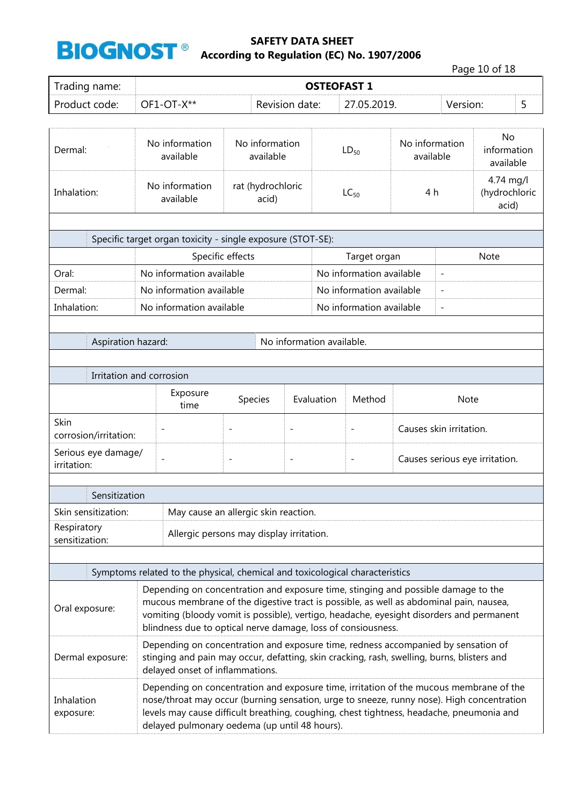

|                                    |                                                                                                                                                                                                                                                                                                                                         |                                          |                           |                    |                          |                             |                                | Page 10 of 18                       |   |
|------------------------------------|-----------------------------------------------------------------------------------------------------------------------------------------------------------------------------------------------------------------------------------------------------------------------------------------------------------------------------------------|------------------------------------------|---------------------------|--------------------|--------------------------|-----------------------------|--------------------------------|-------------------------------------|---|
| Trading name:                      |                                                                                                                                                                                                                                                                                                                                         |                                          |                           | <b>OSTEOFAST 1</b> |                          |                             |                                |                                     |   |
| Product code:                      | OF1-OT-X**                                                                                                                                                                                                                                                                                                                              |                                          | Revision date:            |                    | 27.05.2019.              |                             | Version:                       |                                     | 5 |
|                                    |                                                                                                                                                                                                                                                                                                                                         |                                          |                           |                    |                          |                             |                                |                                     |   |
| Dermal:                            | No information<br>available                                                                                                                                                                                                                                                                                                             | No information<br>available              |                           | $LD_{50}$          |                          | No information<br>available |                                | No<br>information<br>available      |   |
| Inhalation:                        | No information<br>available                                                                                                                                                                                                                                                                                                             | rat (hydrochloric<br>acid)               |                           |                    | $LC_{50}$                | 4 h                         |                                | 4.74 mg/l<br>(hydrochloric<br>acid) |   |
|                                    |                                                                                                                                                                                                                                                                                                                                         |                                          |                           |                    |                          |                             |                                |                                     |   |
|                                    | Specific target organ toxicity - single exposure (STOT-SE):                                                                                                                                                                                                                                                                             |                                          |                           |                    |                          |                             |                                |                                     |   |
|                                    |                                                                                                                                                                                                                                                                                                                                         | Specific effects                         |                           |                    | Target organ             |                             |                                | Note                                |   |
| Oral:                              | No information available                                                                                                                                                                                                                                                                                                                |                                          |                           |                    | No information available |                             | $\overline{\phantom{a}}$       |                                     |   |
| Dermal:                            | No information available                                                                                                                                                                                                                                                                                                                |                                          |                           |                    | No information available |                             | $\overline{\phantom{a}}$       |                                     |   |
| Inhalation:                        | No information available                                                                                                                                                                                                                                                                                                                |                                          |                           |                    | No information available |                             | $\overline{\phantom{a}}$       |                                     |   |
|                                    |                                                                                                                                                                                                                                                                                                                                         |                                          |                           |                    |                          |                             |                                |                                     |   |
| Aspiration hazard:                 |                                                                                                                                                                                                                                                                                                                                         |                                          | No information available. |                    |                          |                             |                                |                                     |   |
|                                    |                                                                                                                                                                                                                                                                                                                                         |                                          |                           |                    |                          |                             |                                |                                     |   |
|                                    | Irritation and corrosion                                                                                                                                                                                                                                                                                                                |                                          |                           |                    |                          |                             |                                |                                     |   |
|                                    | Exposure                                                                                                                                                                                                                                                                                                                                | Species                                  | Evaluation                |                    | Method                   |                             | <b>Note</b>                    |                                     |   |
|                                    | time                                                                                                                                                                                                                                                                                                                                    |                                          |                           |                    |                          |                             |                                |                                     |   |
| Skin<br>corrosion/irritation:      | $\overline{\phantom{0}}$                                                                                                                                                                                                                                                                                                                | $\overline{\phantom{0}}$                 | $\overline{\phantom{0}}$  |                    | $\overline{\phantom{a}}$ |                             | Causes skin irritation.        |                                     |   |
| Serious eye damage/<br>irritation: |                                                                                                                                                                                                                                                                                                                                         | $\qquad \qquad -$                        | $\overline{\phantom{a}}$  |                    |                          |                             | Causes serious eye irritation. |                                     |   |
|                                    |                                                                                                                                                                                                                                                                                                                                         |                                          |                           |                    |                          |                             |                                |                                     |   |
| Sensitization                      |                                                                                                                                                                                                                                                                                                                                         |                                          |                           |                    |                          |                             |                                |                                     |   |
| Skin sensitization:                |                                                                                                                                                                                                                                                                                                                                         | May cause an allergic skin reaction.     |                           |                    |                          |                             |                                |                                     |   |
| Respiratory<br>sensitization:      |                                                                                                                                                                                                                                                                                                                                         | Allergic persons may display irritation. |                           |                    |                          |                             |                                |                                     |   |
|                                    |                                                                                                                                                                                                                                                                                                                                         |                                          |                           |                    |                          |                             |                                |                                     |   |
|                                    | Symptoms related to the physical, chemical and toxicological characteristics                                                                                                                                                                                                                                                            |                                          |                           |                    |                          |                             |                                |                                     |   |
| Oral exposure:                     | Depending on concentration and exposure time, stinging and possible damage to the<br>mucous membrane of the digestive tract is possible, as well as abdominal pain, nausea,<br>vomiting (bloody vomit is possible), vertigo, headache, eyesight disorders and permanent<br>blindness due to optical nerve damage, loss of consiousness. |                                          |                           |                    |                          |                             |                                |                                     |   |
| Dermal exposure:                   | Depending on concentration and exposure time, redness accompanied by sensation of<br>stinging and pain may occur, defatting, skin cracking, rash, swelling, burns, blisters and<br>delayed onset of inflammations.                                                                                                                      |                                          |                           |                    |                          |                             |                                |                                     |   |
| Inhalation<br>exposure:            | Depending on concentration and exposure time, irritation of the mucous membrane of the<br>nose/throat may occur (burning sensation, urge to sneeze, runny nose). High concentration<br>levels may cause difficult breathing, coughing, chest tightness, headache, pneumonia and<br>delayed pulmonary oedema (up until 48 hours).        |                                          |                           |                    |                          |                             |                                |                                     |   |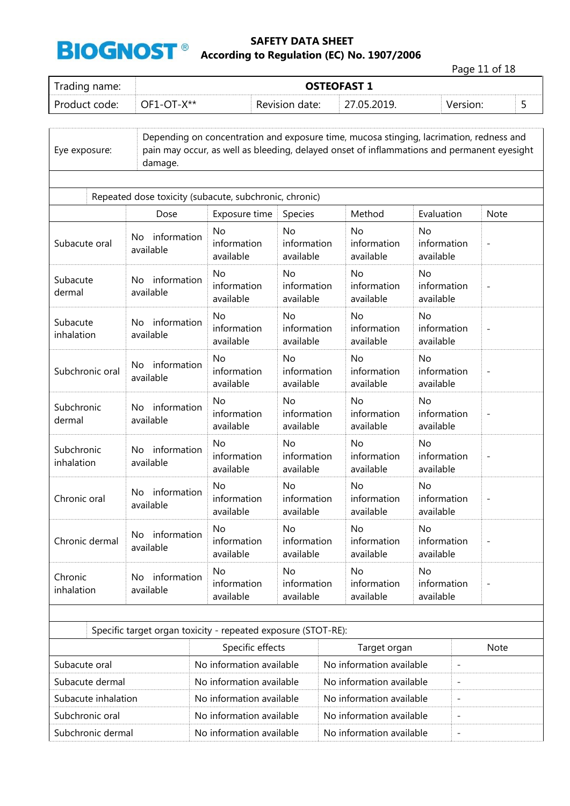

Page 11 of 18

| Trading name: |              | <b>OSTEOFAST 1</b> |             |          |  |  |  |  |
|---------------|--------------|--------------------|-------------|----------|--|--|--|--|
| Product code: | $OF1-OT-X**$ | Revision date:     | 27.05.2019. | Version: |  |  |  |  |

| Eye exposure:            | damage.                                                       | Depending on concentration and exposure time, mucosa stinging, lacrimation, redness and<br>pain may occur, as well as bleeding, delayed onset of inflammations and permanent eyesight |                                            |  |                                       |                                       |                          |                          |
|--------------------------|---------------------------------------------------------------|---------------------------------------------------------------------------------------------------------------------------------------------------------------------------------------|--------------------------------------------|--|---------------------------------------|---------------------------------------|--------------------------|--------------------------|
|                          | Repeated dose toxicity (subacute, subchronic, chronic)        |                                                                                                                                                                                       |                                            |  |                                       |                                       |                          |                          |
|                          | Dose                                                          | Exposure time                                                                                                                                                                         | Species                                    |  | Method                                | Evaluation                            |                          | <b>Note</b>              |
| Subacute oral            | No information<br>available                                   |                                                                                                                                                                                       | <b>No</b><br>information<br>available      |  | No<br>information<br>available        | No<br>information<br>available        |                          | $\overline{\phantom{m}}$ |
| Subacute<br>dermal       | information<br>No.<br>available                               | No<br>information<br>available                                                                                                                                                        | No<br>information<br>available             |  | No<br>information<br>available        | <b>No</b><br>information<br>available |                          |                          |
| Subacute<br>inhalation   | information<br>No.<br>available                               | <b>No</b><br>information<br>available                                                                                                                                                 | N <sub>o</sub><br>information<br>available |  | <b>No</b><br>information<br>available | <b>No</b><br>information<br>available |                          | $\overline{\phantom{m}}$ |
| Subchronic oral          | No information<br>available                                   | <b>No</b><br>information<br>available                                                                                                                                                 | <b>No</b><br>information<br>available      |  | <b>No</b><br>information<br>available | <b>No</b><br>information<br>available |                          |                          |
| Subchronic<br>dermal     | No information<br>available                                   |                                                                                                                                                                                       | No<br>information<br>available             |  | No<br>information<br>available        | <b>No</b><br>information<br>available |                          | $\qquad \qquad -$        |
| Subchronic<br>inhalation | information<br>No.<br>available                               | <b>No</b><br>information<br>available                                                                                                                                                 | No<br>information<br>available             |  | No<br>information<br>available        | No<br>information<br>available        |                          | $\overline{\phantom{m}}$ |
| Chronic oral             | information<br>No.<br>available                               | <b>No</b><br>information<br>available                                                                                                                                                 | <b>No</b><br>information<br>available      |  | No<br>information<br>available        | <b>No</b><br>information<br>available |                          |                          |
| Chronic dermal           | No information<br>available                                   | <b>No</b><br>information<br>available                                                                                                                                                 | <b>No</b><br>information<br>available      |  | No<br>information<br>available        | <b>No</b><br>information<br>available |                          | $\overline{a}$           |
| Chronic<br>inhalation    | No information<br>available                                   | No<br>information<br>available                                                                                                                                                        | No<br>information<br>available             |  | No<br>information<br>available        | No<br>information<br>available        |                          |                          |
|                          |                                                               |                                                                                                                                                                                       |                                            |  |                                       |                                       |                          |                          |
|                          | Specific target organ toxicity - repeated exposure (STOT-RE): |                                                                                                                                                                                       |                                            |  |                                       |                                       |                          |                          |
|                          |                                                               | Specific effects                                                                                                                                                                      |                                            |  | Target organ                          |                                       |                          | <b>Note</b>              |
| Subacute oral            |                                                               | No information available                                                                                                                                                              |                                            |  | No information available              |                                       | $\overline{\phantom{a}}$ |                          |
| Subacute dermal          |                                                               | No information available                                                                                                                                                              |                                            |  | No information available              |                                       |                          |                          |
|                          | Subacute inhalation                                           |                                                                                                                                                                                       | No information available                   |  | No information available              |                                       |                          |                          |
| Subchronic oral          |                                                               | No information available                                                                                                                                                              |                                            |  | No information available              |                                       |                          |                          |
| Subchronic dermal        |                                                               | No information available                                                                                                                                                              |                                            |  | No information available              |                                       | $\qquad \qquad -$        |                          |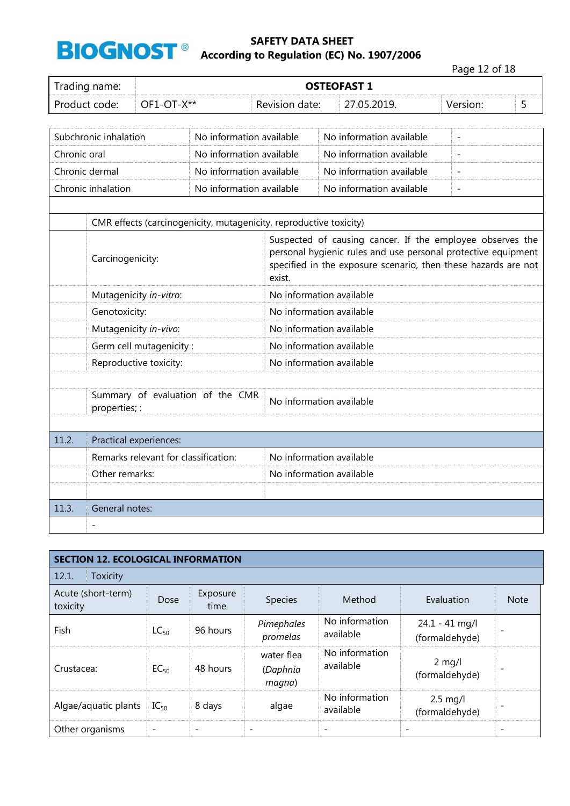

|              |                       |                                      |                                                                    |                          |  |                                                                                                                                                                                              |  | Page 12 of 18                |  |   |  |
|--------------|-----------------------|--------------------------------------|--------------------------------------------------------------------|--------------------------|--|----------------------------------------------------------------------------------------------------------------------------------------------------------------------------------------------|--|------------------------------|--|---|--|
|              | Trading name:         |                                      |                                                                    |                          |  | <b>OSTEOFAST 1</b>                                                                                                                                                                           |  |                              |  |   |  |
|              | Product code:         | OF1-OT-X**                           |                                                                    | Revision date:           |  | 27.05.2019.                                                                                                                                                                                  |  | Version:                     |  | 5 |  |
|              |                       |                                      |                                                                    |                          |  |                                                                                                                                                                                              |  |                              |  |   |  |
|              | Subchronic inhalation |                                      | No information available                                           |                          |  | No information available                                                                                                                                                                     |  | $\qquad \qquad \blacksquare$ |  |   |  |
| Chronic oral |                       |                                      | No information available                                           |                          |  | No information available                                                                                                                                                                     |  | $\overline{a}$               |  |   |  |
|              | Chronic dermal        |                                      | No information available                                           |                          |  | No information available                                                                                                                                                                     |  |                              |  |   |  |
|              | Chronic inhalation    |                                      | No information available                                           |                          |  | No information available                                                                                                                                                                     |  |                              |  |   |  |
|              |                       |                                      |                                                                    |                          |  |                                                                                                                                                                                              |  |                              |  |   |  |
|              |                       |                                      | CMR effects (carcinogenicity, mutagenicity, reproductive toxicity) |                          |  |                                                                                                                                                                                              |  |                              |  |   |  |
|              | Carcinogenicity:      |                                      |                                                                    | exist.                   |  | Suspected of causing cancer. If the employee observes the<br>personal hygienic rules and use personal protective equipment<br>specified in the exposure scenario, then these hazards are not |  |                              |  |   |  |
|              |                       | Mutagenicity in-vitro:               |                                                                    | No information available |  |                                                                                                                                                                                              |  |                              |  |   |  |
|              | Genotoxicity:         |                                      |                                                                    | No information available |  |                                                                                                                                                                                              |  |                              |  |   |  |
|              |                       | Mutagenicity in-vivo:                |                                                                    | No information available |  |                                                                                                                                                                                              |  |                              |  |   |  |
|              |                       | Germ cell mutagenicity:              |                                                                    | No information available |  |                                                                                                                                                                                              |  |                              |  |   |  |
|              |                       | Reproductive toxicity:               |                                                                    | No information available |  |                                                                                                                                                                                              |  |                              |  |   |  |
|              |                       |                                      |                                                                    |                          |  |                                                                                                                                                                                              |  |                              |  |   |  |
|              | properties; :         |                                      | Summary of evaluation of the CMR                                   | No information available |  |                                                                                                                                                                                              |  |                              |  |   |  |
|              |                       |                                      |                                                                    |                          |  |                                                                                                                                                                                              |  |                              |  |   |  |
| 11.2.        |                       | Practical experiences:               |                                                                    |                          |  |                                                                                                                                                                                              |  |                              |  |   |  |
|              |                       | Remarks relevant for classification: |                                                                    | No information available |  |                                                                                                                                                                                              |  |                              |  |   |  |
|              | Other remarks:        |                                      |                                                                    | No information available |  |                                                                                                                                                                                              |  |                              |  |   |  |
|              |                       |                                      |                                                                    |                          |  |                                                                                                                                                                                              |  |                              |  |   |  |
| 11.3.        | General notes:        |                                      |                                                                    |                          |  |                                                                                                                                                                                              |  |                              |  |   |  |
|              |                       |                                      |                                                                    |                          |  |                                                                                                                                                                                              |  |                              |  |   |  |

| <b>SECTION 12. ECOLOGICAL INFORMATION</b> |           |                          |                                  |                             |                                    |             |  |  |  |  |
|-------------------------------------------|-----------|--------------------------|----------------------------------|-----------------------------|------------------------------------|-------------|--|--|--|--|
| 12.1.<br>Toxicity                         |           |                          |                                  |                             |                                    |             |  |  |  |  |
| Acute (short-term)<br>toxicity            | Dose      | Exposure<br>time         | Species                          | Method                      | Evaluation                         | <b>Note</b> |  |  |  |  |
| Fish                                      | $LC_{50}$ | 96 hours                 | Pimephales<br>promelas           | No information<br>available | $24.1 - 41$ mg/l<br>(formaldehyde) |             |  |  |  |  |
| Crustacea:                                | $EC_{50}$ | 48 hours                 | water flea<br>(Daphnia<br>magna) | No information<br>available | $2$ mg/l<br>(formaldehyde)         |             |  |  |  |  |
| Algae/aquatic plants                      | $IC_{50}$ | 8 days                   | algae                            | No information<br>available | $2.5$ mg/l<br>(formaldehyde)       |             |  |  |  |  |
| Other organisms                           |           | $\overline{\phantom{a}}$ | $\overline{\phantom{a}}$         |                             | $\overline{\phantom{a}}$           |             |  |  |  |  |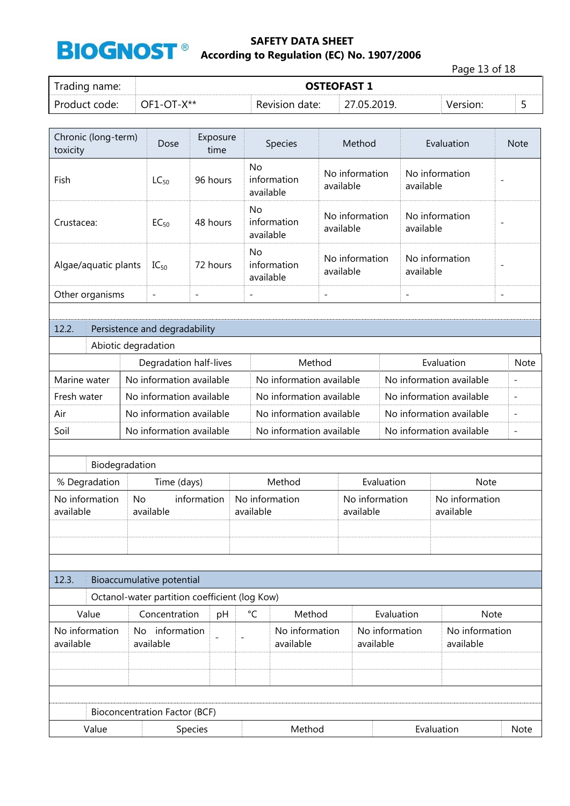

Page 13 of 18

| Trading name: | <b>OSTEOFAST 1</b> |                |             |          |  |  |  |
|---------------|--------------------|----------------|-------------|----------|--|--|--|
| Product code: | $OF1-OT-X***$      | Revision date: | 27.05.2019. | Version: |  |  |  |

| Chronic (long-term)<br>Exposure<br>Dose<br>time<br>toxicity |                          |                                                      |          |  |                          | Species                  |                                          | Method                      |                             |                          | Evaluation                  |                              | <b>Note</b>    |
|-------------------------------------------------------------|--------------------------|------------------------------------------------------|----------|--|--------------------------|--------------------------|------------------------------------------|-----------------------------|-----------------------------|--------------------------|-----------------------------|------------------------------|----------------|
| Fish                                                        |                          | $LC_{50}$                                            | 96 hours |  | <b>No</b><br>available   | information              |                                          | No information<br>available |                             | available                | No information              | $\overline{a}$               |                |
| Crustacea:                                                  |                          | $EC_{50}$                                            | 48 hours |  | No<br>available          | information              | No information<br>available              |                             | No information<br>available |                          |                             |                              |                |
| Algae/aquatic plants                                        |                          | $IC_{50}$                                            | 72 hours |  | No<br>available          | information              | No information<br>available<br>available |                             |                             | No information           | ۰                           |                              |                |
| Other organisms                                             |                          | $\overline{\phantom{a}}$<br>$\overline{\phantom{a}}$ |          |  | $\overline{\phantom{a}}$ |                          | $\overline{\phantom{a}}$                 |                             |                             | $\overline{\phantom{a}}$ |                             | $\qquad \qquad \blacksquare$ |                |
|                                                             |                          |                                                      |          |  |                          |                          |                                          |                             |                             |                          |                             |                              |                |
| 12.2.                                                       |                          | Persistence and degradability                        |          |  |                          |                          |                                          |                             |                             |                          |                             |                              |                |
| Abiotic degradation                                         |                          |                                                      |          |  |                          |                          |                                          |                             |                             |                          |                             |                              |                |
|                                                             |                          | Degradation half-lives                               |          |  |                          | Method                   |                                          |                             |                             |                          | Evaluation                  |                              | <b>Note</b>    |
| Marine water                                                | No information available |                                                      |          |  |                          | No information available |                                          |                             |                             | No information available |                             |                              | $\overline{a}$ |
| Fresh water                                                 |                          | No information available                             |          |  | No information available |                          |                                          |                             |                             | No information available |                             | $\overline{a}$               |                |
| Air                                                         |                          | No information available                             |          |  |                          | No information available |                                          |                             |                             |                          | No information available    |                              | $\overline{a}$ |
| Soil                                                        |                          | No information available                             |          |  |                          | No information available |                                          |                             |                             |                          | No information available    |                              | $\overline{a}$ |
|                                                             |                          |                                                      |          |  |                          |                          |                                          |                             |                             |                          |                             |                              |                |
| Biodegradation                                              |                          |                                                      |          |  |                          |                          |                                          |                             |                             |                          |                             |                              |                |
| % Degradation                                               |                          | Time (days)                                          |          |  | Method<br>Evaluation     |                          |                                          |                             |                             | <b>Note</b>              |                             |                              |                |
| No information<br>available                                 | <b>No</b>                | information<br>available                             |          |  | available                | No information           | No information<br>available              |                             |                             |                          | No information<br>available |                              |                |
|                                                             |                          |                                                      |          |  |                          |                          |                                          |                             |                             |                          |                             |                              |                |
|                                                             |                          |                                                      |          |  |                          |                          |                                          |                             |                             |                          |                             |                              |                |
| 12.3.                                                       |                          | Bioaccumulative potential                            |          |  |                          |                          |                                          |                             |                             |                          |                             |                              |                |
|                                                             |                          | Octanol-water partition coefficient (log Kow)        |          |  |                          |                          |                                          |                             |                             |                          |                             |                              |                |
| Value                                                       |                          | Concentration                                        | pH       |  | $^{\circ}$ C             | Method                   |                                          |                             | Evaluation                  |                          | Note                        |                              |                |
| No information                                              |                          | No information                                       |          |  |                          | No information           |                                          |                             | No information              |                          | No information              |                              |                |
| available                                                   |                          | available                                            |          |  |                          | available                |                                          |                             | available                   |                          | available                   |                              |                |
|                                                             |                          |                                                      |          |  |                          |                          |                                          |                             |                             |                          |                             |                              |                |
|                                                             |                          |                                                      |          |  |                          |                          |                                          |                             |                             |                          |                             |                              |                |
|                                                             |                          |                                                      |          |  |                          |                          |                                          |                             |                             |                          |                             |                              |                |
|                                                             |                          | <b>Bioconcentration Factor (BCF)</b>                 |          |  |                          |                          |                                          |                             |                             |                          |                             |                              |                |
| Value                                                       |                          | Species                                              |          |  |                          | Method                   |                                          |                             |                             | Evaluation               |                             | Note                         |                |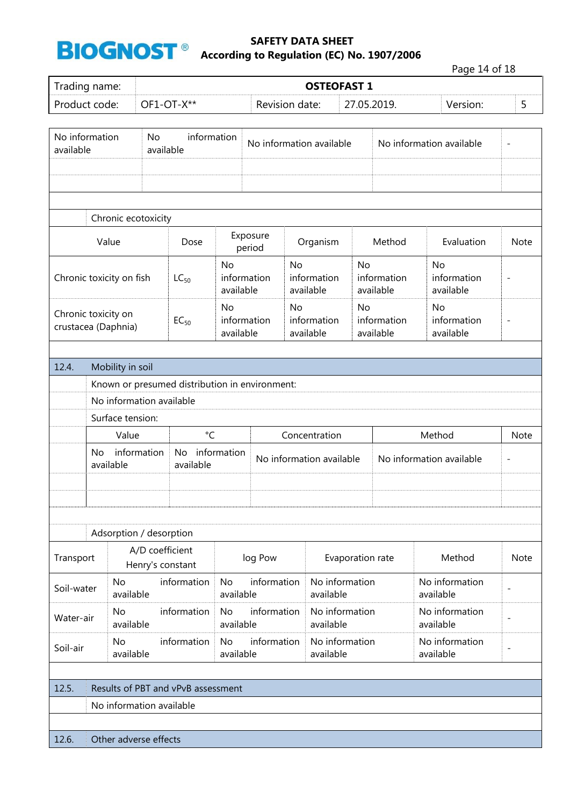

|                             |                                                                 |                        |                                     |                                                |                 |                          |                          |                    |                          |                                       | Page 14 of 18               |                          |
|-----------------------------|-----------------------------------------------------------------|------------------------|-------------------------------------|------------------------------------------------|-----------------|--------------------------|--------------------------|--------------------|--------------------------|---------------------------------------|-----------------------------|--------------------------|
| Trading name:               |                                                                 |                        |                                     |                                                |                 |                          |                          | <b>OSTEOFAST 1</b> |                          |                                       |                             |                          |
| Product code:               |                                                                 |                        |                                     | OF1-OT-X**                                     |                 | Revision date:           |                          |                    | 27.05.2019.              |                                       | Version:                    | 5                        |
|                             |                                                                 |                        |                                     |                                                |                 |                          |                          |                    |                          |                                       |                             |                          |
| No information<br>available |                                                                 |                        | No<br>available                     | information                                    |                 | No information available |                          |                    |                          |                                       | No information available    | $\overline{\phantom{a}}$ |
|                             |                                                                 |                        |                                     |                                                |                 |                          |                          |                    |                          |                                       |                             |                          |
|                             |                                                                 |                        | Chronic ecotoxicity                 |                                                |                 |                          |                          |                    |                          |                                       |                             |                          |
|                             | Value                                                           |                        |                                     | Dose                                           |                 | Exposure<br>period       |                          | Organism           |                          | Method                                | Evaluation                  | <b>Note</b>              |
| Chronic toxicity on fish    |                                                                 |                        | $LC_{50}$                           | <b>No</b><br>available                         | information     | <b>No</b>                | information<br>available | <b>No</b>          | information<br>available | <b>No</b><br>information<br>available | $\overline{\phantom{a}}$    |                          |
|                             | Chronic toxicity on<br>$EC_{50}$<br>crustacea (Daphnia)         |                        |                                     | No<br>available                                | information     | <b>No</b>                | information<br>available | No                 | information<br>available | <b>No</b><br>information<br>available | $\overline{\phantom{a}}$    |                          |
|                             |                                                                 |                        |                                     |                                                |                 |                          |                          |                    |                          |                                       |                             |                          |
| 12.4.                       |                                                                 | Mobility in soil       |                                     |                                                |                 |                          |                          |                    |                          |                                       |                             |                          |
|                             |                                                                 |                        |                                     | Known or presumed distribution in environment: |                 |                          |                          |                    |                          |                                       |                             |                          |
|                             |                                                                 |                        | No information available            |                                                |                 |                          |                          |                    |                          |                                       |                             |                          |
|                             |                                                                 | Surface tension:       |                                     |                                                |                 |                          |                          |                    |                          |                                       |                             |                          |
|                             |                                                                 | Value                  |                                     | $^{\circ}$ C                                   |                 |                          |                          | Concentration      |                          |                                       | Method                      | <b>Note</b>              |
|                             | No.                                                             | available              | information                         | No<br>available                                | information     | No information available |                          |                    |                          | No information available              | $\overline{\phantom{a}}$    |                          |
|                             |                                                                 |                        |                                     |                                                |                 |                          |                          |                    |                          |                                       |                             |                          |
|                             |                                                                 |                        | Adsorption / desorption             |                                                |                 |                          |                          |                    |                          |                                       |                             |                          |
| Transport                   |                                                                 |                        | A/D coefficient<br>Henry's constant |                                                |                 | log Pow                  |                          |                    | Evaporation rate         |                                       | Method                      | <b>Note</b>              |
| Soil-water                  |                                                                 | <b>No</b><br>available |                                     | information                                    | No<br>available | information              |                          | available          | No information           |                                       | No information<br>available |                          |
|                             | <b>No</b><br>information<br><b>No</b><br>Water-air<br>available |                        |                                     |                                                | available       | information              |                          | available          | No information           |                                       | No information<br>available | $\overline{\phantom{a}}$ |
| Soil-air                    | <b>No</b><br>information<br>No<br>available                     |                        |                                     |                                                | available       | information              |                          | available          | No information           |                                       | No information<br>available | $\overline{\phantom{a}}$ |
|                             |                                                                 |                        |                                     |                                                |                 |                          |                          |                    |                          |                                       |                             |                          |
| 12.5.                       |                                                                 |                        |                                     | Results of PBT and vPvB assessment             |                 |                          |                          |                    |                          |                                       |                             |                          |
|                             |                                                                 |                        | No information available            |                                                |                 |                          |                          |                    |                          |                                       |                             |                          |
|                             |                                                                 |                        |                                     |                                                |                 |                          |                          |                    |                          |                                       |                             |                          |
| 12.6.                       |                                                                 |                        | Other adverse effects               |                                                |                 |                          |                          |                    |                          |                                       |                             |                          |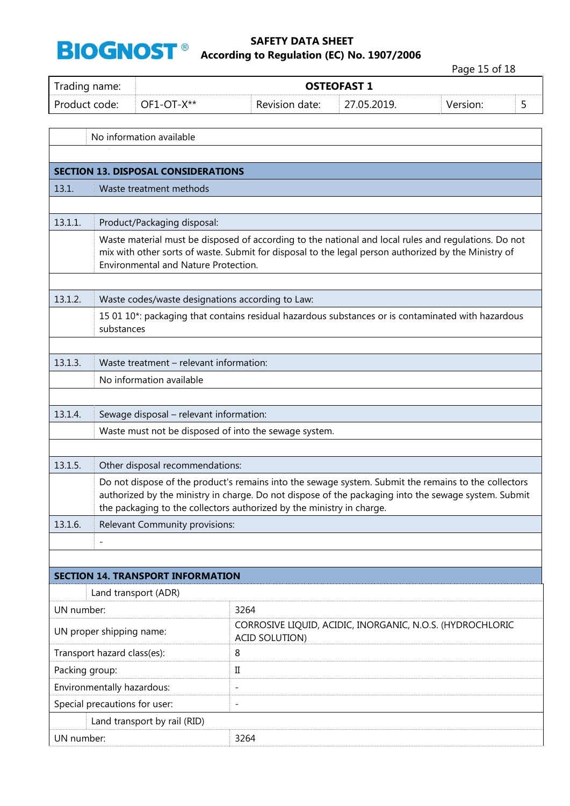

 $\Gamma$ 

#### **SAFETY DATA SHEET According to Regulation (EC) No. 1907/2006**

Page 15 of 18

 $\overline{\mathsf{I}}$ 

| Trading name: |                              | <b>OSTEOFAST 1</b> |             |          |  |  |  |  |  |  |
|---------------|------------------------------|--------------------|-------------|----------|--|--|--|--|--|--|
| Product code: | $\overline{O}$ PC DF1-OT-X** | Revision date:     | 27.05.2019. | Version: |  |  |  |  |  |  |
|               |                              |                    |             |          |  |  |  |  |  |  |

|            | No information available                                                                                                                                                                                                                             |                                                                                                                                                                                                                                                                                       |  |  |  |  |  |  |
|------------|------------------------------------------------------------------------------------------------------------------------------------------------------------------------------------------------------------------------------------------------------|---------------------------------------------------------------------------------------------------------------------------------------------------------------------------------------------------------------------------------------------------------------------------------------|--|--|--|--|--|--|
|            |                                                                                                                                                                                                                                                      |                                                                                                                                                                                                                                                                                       |  |  |  |  |  |  |
|            | <b>SECTION 13. DISPOSAL CONSIDERATIONS</b>                                                                                                                                                                                                           |                                                                                                                                                                                                                                                                                       |  |  |  |  |  |  |
| 13.1.      | Waste treatment methods                                                                                                                                                                                                                              |                                                                                                                                                                                                                                                                                       |  |  |  |  |  |  |
|            |                                                                                                                                                                                                                                                      |                                                                                                                                                                                                                                                                                       |  |  |  |  |  |  |
| 13.1.1.    | Product/Packaging disposal:                                                                                                                                                                                                                          |                                                                                                                                                                                                                                                                                       |  |  |  |  |  |  |
|            | Waste material must be disposed of according to the national and local rules and regulations. Do not<br>mix with other sorts of waste. Submit for disposal to the legal person authorized by the Ministry of<br>Environmental and Nature Protection. |                                                                                                                                                                                                                                                                                       |  |  |  |  |  |  |
|            |                                                                                                                                                                                                                                                      |                                                                                                                                                                                                                                                                                       |  |  |  |  |  |  |
| 13.1.2.    | Waste codes/waste designations according to Law:                                                                                                                                                                                                     |                                                                                                                                                                                                                                                                                       |  |  |  |  |  |  |
|            | substances                                                                                                                                                                                                                                           | 15 01 10*: packaging that contains residual hazardous substances or is contaminated with hazardous                                                                                                                                                                                    |  |  |  |  |  |  |
|            |                                                                                                                                                                                                                                                      |                                                                                                                                                                                                                                                                                       |  |  |  |  |  |  |
| 13.1.3.    | Waste treatment - relevant information:                                                                                                                                                                                                              |                                                                                                                                                                                                                                                                                       |  |  |  |  |  |  |
|            | No information available                                                                                                                                                                                                                             |                                                                                                                                                                                                                                                                                       |  |  |  |  |  |  |
|            |                                                                                                                                                                                                                                                      |                                                                                                                                                                                                                                                                                       |  |  |  |  |  |  |
| 13.1.4.    | Sewage disposal - relevant information:                                                                                                                                                                                                              |                                                                                                                                                                                                                                                                                       |  |  |  |  |  |  |
|            | Waste must not be disposed of into the sewage system.                                                                                                                                                                                                |                                                                                                                                                                                                                                                                                       |  |  |  |  |  |  |
|            |                                                                                                                                                                                                                                                      |                                                                                                                                                                                                                                                                                       |  |  |  |  |  |  |
| 13.1.5.    | Other disposal recommendations:                                                                                                                                                                                                                      |                                                                                                                                                                                                                                                                                       |  |  |  |  |  |  |
|            |                                                                                                                                                                                                                                                      | Do not dispose of the product's remains into the sewage system. Submit the remains to the collectors<br>authorized by the ministry in charge. Do not dispose of the packaging into the sewage system. Submit<br>the packaging to the collectors authorized by the ministry in charge. |  |  |  |  |  |  |
| 13.1.6.    | Relevant Community provisions:                                                                                                                                                                                                                       |                                                                                                                                                                                                                                                                                       |  |  |  |  |  |  |
|            | $\overline{\phantom{a}}$                                                                                                                                                                                                                             |                                                                                                                                                                                                                                                                                       |  |  |  |  |  |  |
|            |                                                                                                                                                                                                                                                      |                                                                                                                                                                                                                                                                                       |  |  |  |  |  |  |
|            | <b>SECTION 14. TRANSPORT INFORMATION</b>                                                                                                                                                                                                             |                                                                                                                                                                                                                                                                                       |  |  |  |  |  |  |
|            | Land transport (ADR)                                                                                                                                                                                                                                 |                                                                                                                                                                                                                                                                                       |  |  |  |  |  |  |
| UN number: |                                                                                                                                                                                                                                                      | 3264                                                                                                                                                                                                                                                                                  |  |  |  |  |  |  |
|            | UN proper shipping name:                                                                                                                                                                                                                             | CORROSIVE LIQUID, ACIDIC, INORGANIC, N.O.S. (HYDROCHLORIC<br><b>ACID SOLUTION)</b>                                                                                                                                                                                                    |  |  |  |  |  |  |
|            | Transport hazard class(es):<br>8                                                                                                                                                                                                                     |                                                                                                                                                                                                                                                                                       |  |  |  |  |  |  |
|            | Packing group:<br>П                                                                                                                                                                                                                                  |                                                                                                                                                                                                                                                                                       |  |  |  |  |  |  |
|            | Environmentally hazardous:<br>$\overline{\phantom{a}}$                                                                                                                                                                                               |                                                                                                                                                                                                                                                                                       |  |  |  |  |  |  |
|            | Special precautions for user:<br>$\overline{\phantom{a}}$                                                                                                                                                                                            |                                                                                                                                                                                                                                                                                       |  |  |  |  |  |  |
|            | Land transport by rail (RID)                                                                                                                                                                                                                         |                                                                                                                                                                                                                                                                                       |  |  |  |  |  |  |
| UN number: |                                                                                                                                                                                                                                                      | 3264                                                                                                                                                                                                                                                                                  |  |  |  |  |  |  |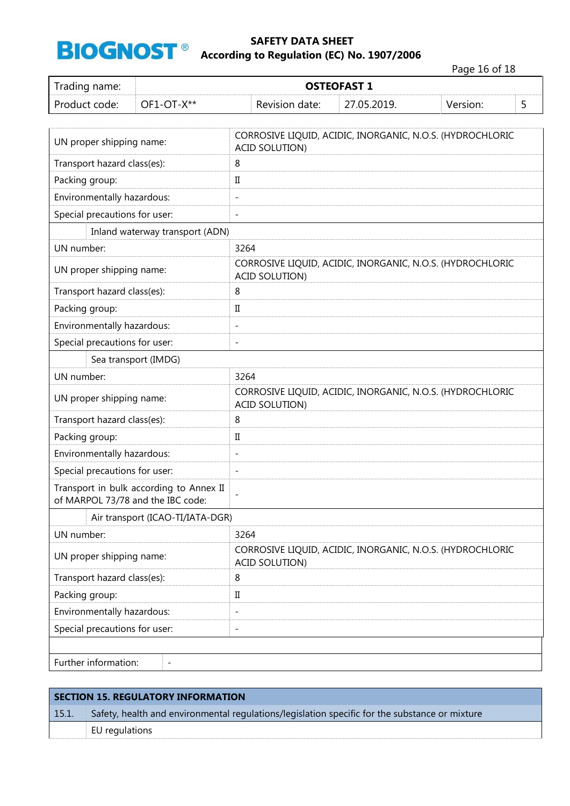

Page 16 of 18

| Trading name:                     |                                         |                                                                                    |  | <b>OSTEOFAST 1</b>                                        |          |   |  |  |  |
|-----------------------------------|-----------------------------------------|------------------------------------------------------------------------------------|--|-----------------------------------------------------------|----------|---|--|--|--|
| Product code:                     | OF1-OT-X**                              | Revision date:                                                                     |  | 27.05.2019.                                               | Version: | 5 |  |  |  |
|                                   |                                         |                                                                                    |  |                                                           |          |   |  |  |  |
| UN proper shipping name:          |                                         | CORROSIVE LIQUID, ACIDIC, INORGANIC, N.O.S. (HYDROCHLORIC<br><b>ACID SOLUTION)</b> |  |                                                           |          |   |  |  |  |
| Transport hazard class(es):       |                                         | 8                                                                                  |  |                                                           |          |   |  |  |  |
| Packing group:                    |                                         | $\rm II$                                                                           |  |                                                           |          |   |  |  |  |
| Environmentally hazardous:        |                                         | $\overline{\phantom{0}}$                                                           |  |                                                           |          |   |  |  |  |
| Special precautions for user:     |                                         | $\qquad \qquad \blacksquare$                                                       |  |                                                           |          |   |  |  |  |
|                                   | Inland waterway transport (ADN)         |                                                                                    |  |                                                           |          |   |  |  |  |
| UN number:                        |                                         | 3264                                                                               |  |                                                           |          |   |  |  |  |
| UN proper shipping name:          |                                         | <b>ACID SOLUTION)</b>                                                              |  | CORROSIVE LIQUID, ACIDIC, INORGANIC, N.O.S. (HYDROCHLORIC |          |   |  |  |  |
| Transport hazard class(es):       |                                         | 8                                                                                  |  |                                                           |          |   |  |  |  |
| Packing group:                    |                                         | П                                                                                  |  |                                                           |          |   |  |  |  |
| Environmentally hazardous:        |                                         | $\overline{\phantom{0}}$                                                           |  |                                                           |          |   |  |  |  |
| Special precautions for user:     |                                         | $\qquad \qquad -$                                                                  |  |                                                           |          |   |  |  |  |
|                                   | Sea transport (IMDG)                    |                                                                                    |  |                                                           |          |   |  |  |  |
| UN number:                        |                                         | 3264                                                                               |  |                                                           |          |   |  |  |  |
| UN proper shipping name:          |                                         | CORROSIVE LIQUID, ACIDIC, INORGANIC, N.O.S. (HYDROCHLORIC<br><b>ACID SOLUTION)</b> |  |                                                           |          |   |  |  |  |
| Transport hazard class(es):       |                                         | 8                                                                                  |  |                                                           |          |   |  |  |  |
| Packing group:                    |                                         | $\mathbf I$                                                                        |  |                                                           |          |   |  |  |  |
| Environmentally hazardous:        |                                         | $\overline{a}$                                                                     |  |                                                           |          |   |  |  |  |
| Special precautions for user:     |                                         | $\overline{a}$                                                                     |  |                                                           |          |   |  |  |  |
| of MARPOL 73/78 and the IBC code: | Transport in bulk according to Annex II | $\overline{a}$                                                                     |  |                                                           |          |   |  |  |  |
|                                   | Air transport (ICAO-TI/IATA-DGR)        |                                                                                    |  |                                                           |          |   |  |  |  |
| UN number:                        |                                         | 3264                                                                               |  |                                                           |          |   |  |  |  |
| UN proper shipping name:          |                                         | <b>ACID SOLUTION)</b>                                                              |  | CORROSIVE LIQUID, ACIDIC, INORGANIC, N.O.S. (HYDROCHLORIC |          |   |  |  |  |
| Transport hazard class(es):       |                                         | 8                                                                                  |  |                                                           |          |   |  |  |  |
| Packing group:                    |                                         | $\rm{II}$                                                                          |  |                                                           |          |   |  |  |  |
| Environmentally hazardous:        |                                         | $\overline{\phantom{0}}$                                                           |  |                                                           |          |   |  |  |  |
| Special precautions for user:     |                                         | $\qquad \qquad -$                                                                  |  |                                                           |          |   |  |  |  |
|                                   |                                         |                                                                                    |  |                                                           |          |   |  |  |  |
| Further information:              | $\overline{\phantom{a}}$                |                                                                                    |  |                                                           |          |   |  |  |  |

| <b>SECTION 15. REGULATORY INFORMATION</b> |                                                                                                |  |  |  |
|-------------------------------------------|------------------------------------------------------------------------------------------------|--|--|--|
| 15.1.                                     | Safety, health and environmental regulations/legislation specific for the substance or mixture |  |  |  |
|                                           | EU regulations                                                                                 |  |  |  |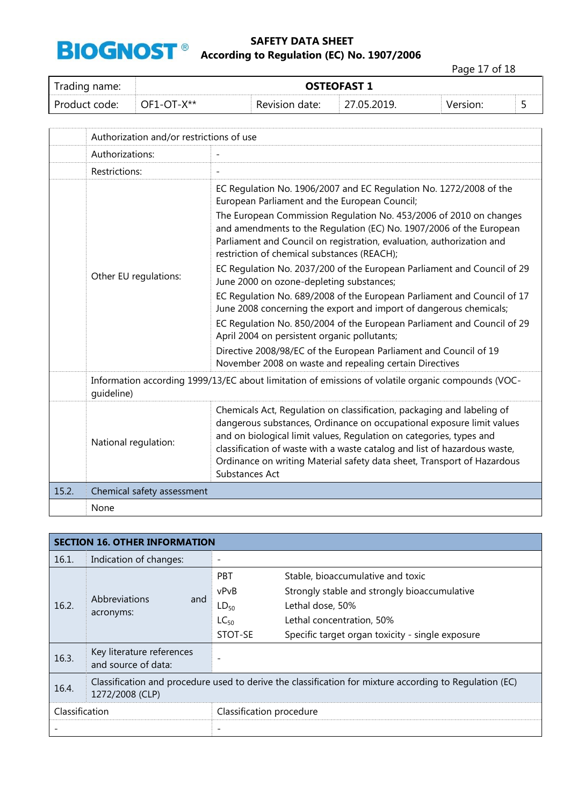

Page 17 of 18

| Trading name: | <b>OSTEOFAST 1</b> |                |             |          |  |
|---------------|--------------------|----------------|-------------|----------|--|
| Product code: | OF1-OT-X**         | Revision date: | 27.05.2019. | Version: |  |

|       | Authorization and/or restrictions of use                                                                         |                                                                                                                                                                                                                                                                                                                                                                                                                                                                                                                                                                                                                                                                                                                                                                                                                                                                                                                             |  |  |
|-------|------------------------------------------------------------------------------------------------------------------|-----------------------------------------------------------------------------------------------------------------------------------------------------------------------------------------------------------------------------------------------------------------------------------------------------------------------------------------------------------------------------------------------------------------------------------------------------------------------------------------------------------------------------------------------------------------------------------------------------------------------------------------------------------------------------------------------------------------------------------------------------------------------------------------------------------------------------------------------------------------------------------------------------------------------------|--|--|
|       | Authorizations:                                                                                                  |                                                                                                                                                                                                                                                                                                                                                                                                                                                                                                                                                                                                                                                                                                                                                                                                                                                                                                                             |  |  |
|       | Restrictions:                                                                                                    |                                                                                                                                                                                                                                                                                                                                                                                                                                                                                                                                                                                                                                                                                                                                                                                                                                                                                                                             |  |  |
|       | Other EU regulations:                                                                                            | EC Regulation No. 1906/2007 and EC Regulation No. 1272/2008 of the<br>European Parliament and the European Council;<br>The European Commission Regulation No. 453/2006 of 2010 on changes<br>and amendments to the Regulation (EC) No. 1907/2006 of the European<br>Parliament and Council on registration, evaluation, authorization and<br>restriction of chemical substances (REACH);<br>EC Regulation No. 2037/200 of the European Parliament and Council of 29<br>June 2000 on ozone-depleting substances;<br>EC Regulation No. 689/2008 of the European Parliament and Council of 17<br>June 2008 concerning the export and import of dangerous chemicals;<br>EC Regulation No. 850/2004 of the European Parliament and Council of 29<br>April 2004 on persistent organic pollutants;<br>Directive 2008/98/EC of the European Parliament and Council of 19<br>November 2008 on waste and repealing certain Directives |  |  |
|       | Information according 1999/13/EC about limitation of emissions of volatile organic compounds (VOC-<br>quideline) |                                                                                                                                                                                                                                                                                                                                                                                                                                                                                                                                                                                                                                                                                                                                                                                                                                                                                                                             |  |  |
|       | National regulation:                                                                                             | Chemicals Act, Regulation on classification, packaging and labeling of<br>dangerous substances, Ordinance on occupational exposure limit values<br>and on biological limit values, Regulation on categories, types and<br>classification of waste with a waste catalog and list of hazardous waste,<br>Ordinance on writing Material safety data sheet, Transport of Hazardous<br>Substances Act                                                                                                                                                                                                                                                                                                                                                                                                                                                                                                                            |  |  |
| 15.2. | Chemical safety assessment                                                                                       |                                                                                                                                                                                                                                                                                                                                                                                                                                                                                                                                                                                                                                                                                                                                                                                                                                                                                                                             |  |  |
|       | None                                                                                                             |                                                                                                                                                                                                                                                                                                                                                                                                                                                                                                                                                                                                                                                                                                                                                                                                                                                                                                                             |  |  |

| <b>SECTION 16. OTHER INFORMATION</b> |                                                                                                                            |                          |                                                  |  |
|--------------------------------------|----------------------------------------------------------------------------------------------------------------------------|--------------------------|--------------------------------------------------|--|
| 16.1.                                | Indication of changes:                                                                                                     | $\overline{\phantom{a}}$ |                                                  |  |
| 16.2.                                | Abbreviations<br>and<br>acronyms:                                                                                          | <b>PBT</b>               | Stable, bioaccumulative and toxic                |  |
|                                      |                                                                                                                            | vPvB                     | Strongly stable and strongly bioaccumulative     |  |
|                                      |                                                                                                                            | $LD_{50}$                | Lethal dose, 50%                                 |  |
|                                      |                                                                                                                            | $LC_{50}$                | Lethal concentration, 50%                        |  |
|                                      |                                                                                                                            | STOT-SE                  | Specific target organ toxicity - single exposure |  |
| 16.3.                                | Key literature references<br>and source of data:                                                                           |                          |                                                  |  |
|                                      |                                                                                                                            |                          |                                                  |  |
| 16.4.                                | Classification and procedure used to derive the classification for mixture according to Regulation (EC)<br>1272/2008 (CLP) |                          |                                                  |  |
| Classification                       |                                                                                                                            | Classification procedure |                                                  |  |
|                                      |                                                                                                                            |                          |                                                  |  |